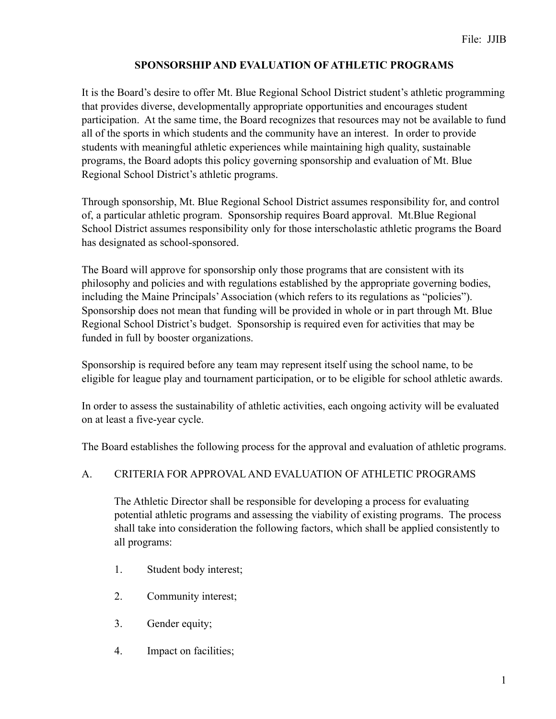# **SPONSORSHIP AND EVALUATION OF ATHLETIC PROGRAMS**

It is the Board's desire to offer Mt. Blue Regional School District student's athletic programming that provides diverse, developmentally appropriate opportunities and encourages student participation. At the same time, the Board recognizes that resources may not be available to fund all of the sports in which students and the community have an interest. In order to provide students with meaningful athletic experiences while maintaining high quality, sustainable programs, the Board adopts this policy governing sponsorship and evaluation of Mt. Blue Regional School District's athletic programs.

Through sponsorship, Mt. Blue Regional School District assumes responsibility for, and control of, a particular athletic program. Sponsorship requires Board approval. Mt.Blue Regional School District assumes responsibility only for those interscholastic athletic programs the Board has designated as school-sponsored.

The Board will approve for sponsorship only those programs that are consistent with its philosophy and policies and with regulations established by the appropriate governing bodies, including the Maine Principals' Association (which refers to its regulations as "policies"). Sponsorship does not mean that funding will be provided in whole or in part through Mt. Blue Regional School District's budget. Sponsorship is required even for activities that may be funded in full by booster organizations.

Sponsorship is required before any team may represent itself using the school name, to be eligible for league play and tournament participation, or to be eligible for school athletic awards.

In order to assess the sustainability of athletic activities, each ongoing activity will be evaluated on at least a five-year cycle.

The Board establishes the following process for the approval and evaluation of athletic programs.

### A. CRITERIA FOR APPROVAL AND EVALUATION OF ATHLETIC PROGRAMS

 The Athletic Director shall be responsible for developing a process for evaluating potential athletic programs and assessing the viability of existing programs. The process shall take into consideration the following factors, which shall be applied consistently to all programs:

- 1. Student body interest;
- 2. Community interest;
- 3. Gender equity;
- 4. Impact on facilities;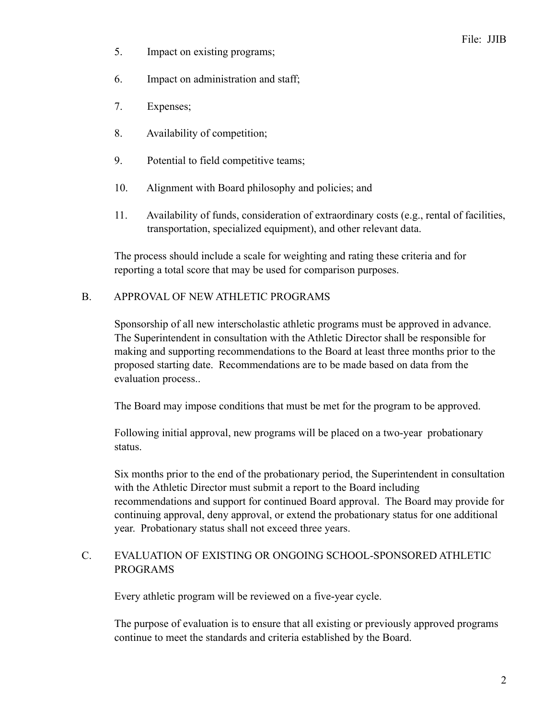- 5. Impact on existing programs;
- 6. Impact on administration and staff;
- 7. Expenses;
- 8. Availability of competition;
- 9. Potential to field competitive teams;
- 10. Alignment with Board philosophy and policies; and
- 11. Availability of funds, consideration of extraordinary costs (e.g., rental of facilities, transportation, specialized equipment), and other relevant data.

The process should include a scale for weighting and rating these criteria and for reporting a total score that may be used for comparison purposes.

#### B. APPROVAL OF NEW ATHLETIC PROGRAMS

Sponsorship of all new interscholastic athletic programs must be approved in advance. The Superintendent in consultation with the Athletic Director shall be responsible for making and supporting recommendations to the Board at least three months prior to the proposed starting date. Recommendations are to be made based on data from the evaluation process..

The Board may impose conditions that must be met for the program to be approved.

Following initial approval, new programs will be placed on a two-year probationary status.

Six months prior to the end of the probationary period, the Superintendent in consultation with the Athletic Director must submit a report to the Board including recommendations and support for continued Board approval. The Board may provide for continuing approval, deny approval, or extend the probationary status for one additional year. Probationary status shall not exceed three years.

## C. EVALUATION OF EXISTING OR ONGOING SCHOOL-SPONSORED ATHLETIC PROGRAMS

Every athletic program will be reviewed on a five-year cycle.

The purpose of evaluation is to ensure that all existing or previously approved programs continue to meet the standards and criteria established by the Board.